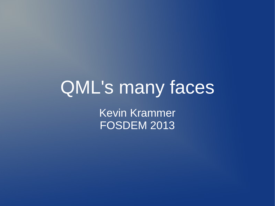# QML's many faces

Kevin Krammer FOSDEM 2013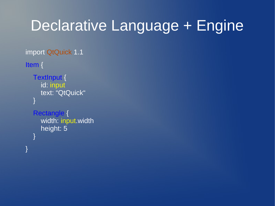### Declarative Language + Engine

```
import QtQuick 1.1
```

```
Item {
```

```
 TextInput {
   id: input
   text: "QtQuick"
```

```
 }
```
}

```
 Rectangle {
    width: input.width
    height: 5
 }
```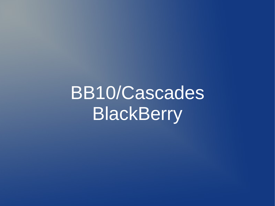BB10/Cascades BlackBerry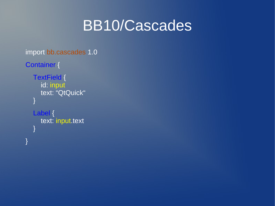#### BB10/Cascades

```
import bb.cascades 1.0
Container {
   TextField {
      id: input
      text: "QtQuick"
    }
   Label {
      text: input.text
   }
}
```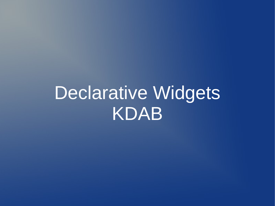# Declarative Widgets KDAB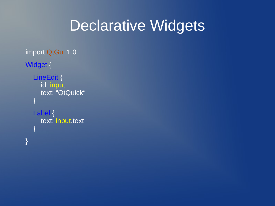#### Declarative Widgets

```
import QtGui 1.0
Widget {
   LineEdit {
      id: input
      text: "QtQuick"
    }
   Label {
      text: input.text
    }
}
```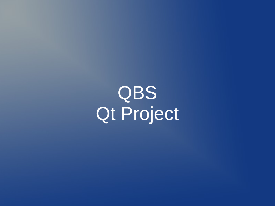QBS Qt Project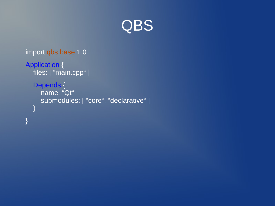

```
import qbs.base 1.0
Application {
   files: [ "main.cpp" ]
   Depends {
      name: "Qt"
     submodules: [ "core", "declarative" ]
    }
}
```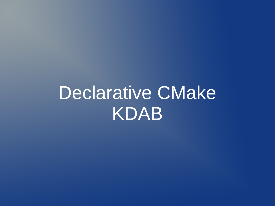# Declarative CMake KDAB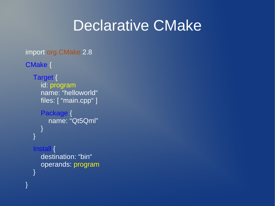#### Declarative CMake

```
import org.CMake 2.8
```

```
CMake {
```
}

```
 Target {
     id: program
     name: "helloworld"
    files: [ "main.cpp" ]
     Package {
        name: "Qt5Qml"
 }
   }
  Insta
     destination: "bin"
     operands: program
   }
```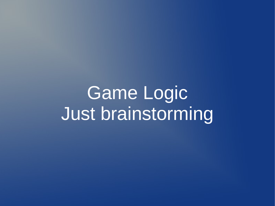Game Logic Just brainstorming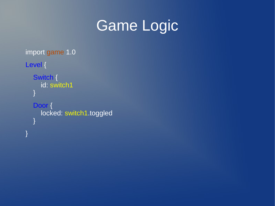## Game Logic

```
import game 1.0
Level {
    Switch {
      id: switch1
    }
  Door {
     locked: switch1.toggled
    }
}
```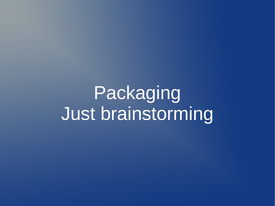Packaging Just brainstorming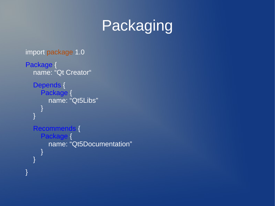## Packaging

```
import package 1.0
Package {
   name: "Qt Creator"
   Depends {
     Package {
        name: "Qt5Libs"
 }
 }
   Recommends {
     Package {
        name: "Qt5Documentation"
     }
   }
}
```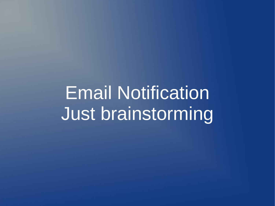Email Notification Just brainstorming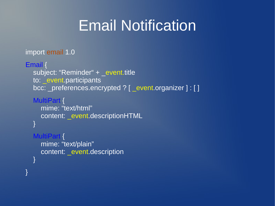## Email Notification

#### import email 1.0

```
Email {
  subject: "Reminder" + _event.title
  to: event.participants
  bcc: _preferences.encrypted ? [ _event.organizer ] : [ ]
```
#### MultiPart {

```
 mime: "text/html"
content: event.descriptionHTML
```

```
 MultiPart {
```
}

}

```
 mime: "text/plain"
  content: event.description
 }
```